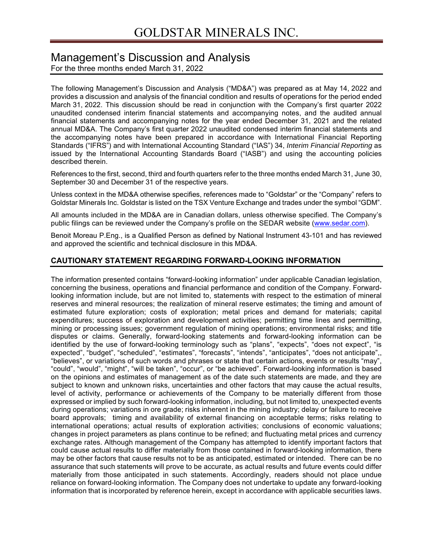# Management's Discussion and Analysis

For the three months ended March 31, 2022

The following Management's Discussion and Analysis ("MD&A") was prepared as at May 14, 2022 and provides a discussion and analysis of the financial condition and results of operations for the period ended March 31, 2022. This discussion should be read in conjunction with the Company's first quarter 2022 unaudited condensed interim financial statements and accompanying notes, and the audited annual financial statements and accompanying notes for the year ended December 31, 2021 and the related annual MD&A. The Company's first quarter 2022 unaudited condensed interim financial statements and the accompanying notes have been prepared in accordance with International Financial Reporting Standards ("IFRS") and with International Accounting Standard ("IAS") 34, *Interim Financial Reporting* as issued by the International Accounting Standards Board ("IASB") and using the accounting policies described therein.

References to the first, second, third and fourth quarters refer to the three months ended March 31, June 30, September 30 and December 31 of the respective years.

Unless context in the MD&A otherwise specifies, references made to "Goldstar" or the "Company" refers to Goldstar Minerals Inc. Goldstar is listed on the TSX Venture Exchange and trades under the symbol "GDM".

All amounts included in the MD&A are in Canadian dollars, unless otherwise specified. The Company's public filings can be reviewed under the Company's profile on the SEDAR website (www.sedar.com).

Benoit Moreau P.Eng., is a Qualified Person as defined by National Instrument 43-101 and has reviewed and approved the scientific and technical disclosure in this MD&A.

### **CAUTIONARY STATEMENT REGARDING FORWARD-LOOKING INFORMATION**

The information presented contains "forward-looking information" under applicable Canadian legislation, concerning the business, operations and financial performance and condition of the Company. Forwardlooking information include, but are not limited to, statements with respect to the estimation of mineral reserves and mineral resources; the realization of mineral reserve estimates; the timing and amount of estimated future exploration; costs of exploration; metal prices and demand for materials; capital expenditures; success of exploration and development activities; permitting time lines and permitting, mining or processing issues; government regulation of mining operations; environmental risks; and title disputes or claims. Generally, forward-looking statements and forward-looking information can be identified by the use of forward-looking terminology such as "plans", "expects", "does not expect", "is expected", "budget", "scheduled", "estimates", "forecasts", "intends", "anticipates", "does not anticipate",, "believes", or variations of such words and phrases or state that certain actions, events or results "may", "could", "would", "might", "will be taken", "occur", or "be achieved". Forward-looking information is based on the opinions and estimates of management as of the date such statements are made, and they are subject to known and unknown risks, uncertainties and other factors that may cause the actual results, level of activity, performance or achievements of the Company to be materially different from those expressed or implied by such forward-looking information, including, but not limited to, unexpected events during operations; variations in ore grade; risks inherent in the mining industry; delay or failure to receive board approvals; timing and availability of external financing on acceptable terms; risks relating to international operations; actual results of exploration activities; conclusions of economic valuations; changes in project parameters as plans continue to be refined; and fluctuating metal prices and currency exchange rates. Although management of the Company has attempted to identify important factors that could cause actual results to differ materially from those contained in forward-looking information, there may be other factors that cause results not to be as anticipated, estimated or intended. There can be no assurance that such statements will prove to be accurate, as actual results and future events could differ materially from those anticipated in such statements. Accordingly, readers should not place undue reliance on forward-looking information. The Company does not undertake to update any forward-looking information that is incorporated by reference herein, except in accordance with applicable securities laws.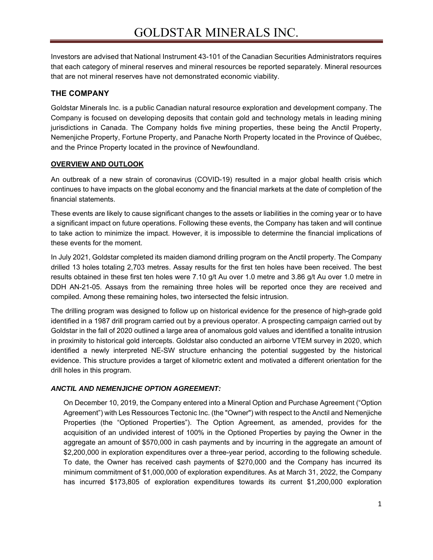Investors are advised that National Instrument 43-101 of the Canadian Securities Administrators requires that each category of mineral reserves and mineral resources be reported separately. Mineral resources that are not mineral reserves have not demonstrated economic viability.

# **THE COMPANY**

Goldstar Minerals Inc. is a public Canadian natural resource exploration and development company. The Company is focused on developing deposits that contain gold and technology metals in leading mining jurisdictions in Canada. The Company holds five mining properties, these being the Anctil Property, Nemenjiche Property, Fortune Property, and Panache North Property located in the Province of Québec, and the Prince Property located in the province of Newfoundland.

### **OVERVIEW AND OUTLOOK**

An outbreak of a new strain of coronavirus (COVID-19) resulted in a major global health crisis which continues to have impacts on the global economy and the financial markets at the date of completion of the financial statements.

These events are likely to cause significant changes to the assets or liabilities in the coming year or to have a significant impact on future operations. Following these events, the Company has taken and will continue to take action to minimize the impact. However, it is impossible to determine the financial implications of these events for the moment.

In July 2021, Goldstar completed its maiden diamond drilling program on the Anctil property. The Company drilled 13 holes totaling 2,703 metres. Assay results for the first ten holes have been received. The best results obtained in these first ten holes were 7.10 g/t Au over 1.0 metre and 3.86 g/t Au over 1.0 metre in DDH AN-21-05. Assays from the remaining three holes will be reported once they are received and compiled. Among these remaining holes, two intersected the felsic intrusion.

The drilling program was designed to follow up on historical evidence for the presence of high-grade gold identified in a 1987 drill program carried out by a previous operator. A prospecting campaign carried out by Goldstar in the fall of 2020 outlined a large area of anomalous gold values and identified a tonalite intrusion in proximity to historical gold intercepts. Goldstar also conducted an airborne VTEM survey in 2020, which identified a newly interpreted NE-SW structure enhancing the potential suggested by the historical evidence. This structure provides a target of kilometric extent and motivated a different orientation for the drill holes in this program.

# *ANCTIL AND NEMENJICHE OPTION AGREEMENT:*

On December 10, 2019, the Company entered into a Mineral Option and Purchase Agreement ("Option Agreement") with Les Ressources Tectonic Inc. (the "Owner") with respect to the Anctil and Nemenjiche Properties (the "Optioned Properties"). The Option Agreement, as amended, provides for the acquisition of an undivided interest of 100% in the Optioned Properties by paying the Owner in the aggregate an amount of \$570,000 in cash payments and by incurring in the aggregate an amount of \$2,200,000 in exploration expenditures over a three-year period, according to the following schedule. To date, the Owner has received cash payments of \$270,000 and the Company has incurred its minimum commitment of \$1,000,000 of exploration expenditures. As at March 31, 2022, the Company has incurred \$173,805 of exploration expenditures towards its current \$1,200,000 exploration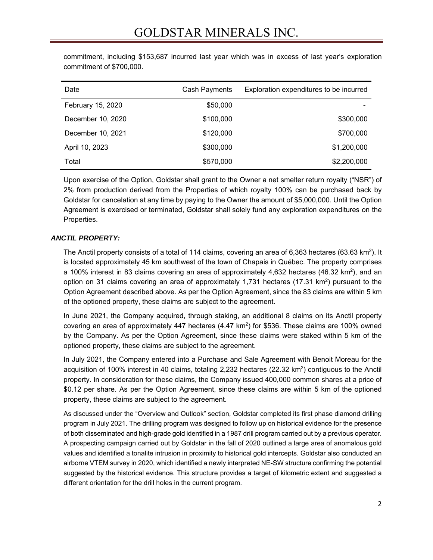| Date              | Cash Payments | Exploration expenditures to be incurred |
|-------------------|---------------|-----------------------------------------|
| February 15, 2020 | \$50,000      |                                         |
| December 10, 2020 | \$100,000     | \$300,000                               |
| December 10, 2021 | \$120,000     | \$700,000                               |
| April 10, 2023    | \$300,000     | \$1,200,000                             |
| Total             | \$570,000     | \$2,200,000                             |

commitment, including \$153,687 incurred last year which was in excess of last year's exploration commitment of \$700,000.

Upon exercise of the Option, Goldstar shall grant to the Owner a net smelter return royalty ("NSR") of 2% from production derived from the Properties of which royalty 100% can be purchased back by Goldstar for cancelation at any time by paying to the Owner the amount of \$5,000,000. Until the Option Agreement is exercised or terminated, Goldstar shall solely fund any exploration expenditures on the Properties.

### *ANCTIL PROPERTY:*

The Anctil property consists of a total of 114 claims, covering an area of 6,363 hectares (63.63 km<sup>2</sup>). It is located approximately 45 km southwest of the town of Chapais in Québec. The property comprises a 100% interest in 83 claims covering an area of approximately 4,632 hectares (46.32 km<sup>2</sup>), and an option on 31 claims covering an area of approximately 1,731 hectares  $(17.31 \text{ km}^2)$  pursuant to the Option Agreement described above. As per the Option Agreement, since the 83 claims are within 5 km of the optioned property, these claims are subject to the agreement.

In June 2021, the Company acquired, through staking, an additional 8 claims on its Anctil property covering an area of approximately 447 hectares  $(4.47 \text{ km}^2)$  for \$536. These claims are 100% owned by the Company. As per the Option Agreement, since these claims were staked within 5 km of the optioned property, these claims are subject to the agreement.

In July 2021, the Company entered into a Purchase and Sale Agreement with Benoit Moreau for the acquisition of 100% interest in 40 claims, totaling 2,232 hectares (22.32  $km^2$ ) contiguous to the Anctil property. In consideration for these claims, the Company issued 400,000 common shares at a price of \$0.12 per share. As per the Option Agreement, since these claims are within 5 km of the optioned property, these claims are subject to the agreement.

As discussed under the "Overview and Outlook" section, Goldstar completed its first phase diamond drilling program in July 2021. The drilling program was designed to follow up on historical evidence for the presence of both disseminated and high-grade gold identified in a 1987 drill program carried out by a previous operator. A prospecting campaign carried out by Goldstar in the fall of 2020 outlined a large area of anomalous gold values and identified a tonalite intrusion in proximity to historical gold intercepts. Goldstar also conducted an airborne VTEM survey in 2020, which identified a newly interpreted NE-SW structure confirming the potential suggested by the historical evidence. This structure provides a target of kilometric extent and suggested a different orientation for the drill holes in the current program.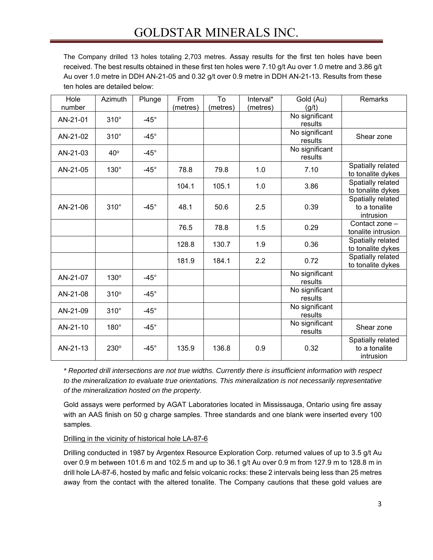# GOLDSTAR MINERALS INC.

The Company drilled 13 holes totaling 2,703 metres. Assay results for the first ten holes have been received. The best results obtained in these first ten holes were 7.10 g/t Au over 1.0 metre and 3.86 g/t Au over 1.0 metre in DDH AN-21-05 and 0.32 g/t over 0.9 metre in DDH AN-21-13. Results from these ten holes are detailed below:

| Hole     | Azimuth     | Plunge      | From     | To       | Interval* | Gold (Au)      | Remarks            |
|----------|-------------|-------------|----------|----------|-----------|----------------|--------------------|
| number   |             |             | (metres) | (metres) | (metres)  | (g/t)          |                    |
| AN-21-01 | $310^\circ$ | $-45^\circ$ |          |          |           | No significant |                    |
|          |             |             |          |          |           | results        |                    |
| AN-21-02 | $310^\circ$ | $-45^\circ$ |          |          |           | No significant | Shear zone         |
|          |             |             |          |          |           | results        |                    |
| AN-21-03 | $40^\circ$  | $-45^\circ$ |          |          |           | No significant |                    |
|          |             |             |          |          |           | results        |                    |
| AN-21-05 | $130^\circ$ | $-45^\circ$ | 78.8     | 79.8     | 1.0       | 7.10           | Spatially related  |
|          |             |             |          |          |           |                | to tonalite dykes  |
|          |             |             | 104.1    | 105.1    | 1.0       | 3.86           | Spatially related  |
|          |             |             |          |          |           |                | to tonalite dykes  |
|          |             |             |          |          |           |                | Spatially related  |
| AN-21-06 | $310^\circ$ | $-45^\circ$ | 48.1     | 50.6     | 2.5       | 0.39           | to a tonalite      |
|          |             |             |          |          |           |                | intrusion          |
|          |             |             |          |          |           |                | Contact zone -     |
|          |             |             | 76.5     | 78.8     | 1.5       | 0.29           | tonalite intrusion |
|          |             |             |          |          |           |                | Spatially related  |
|          |             |             | 128.8    | 130.7    | 1.9       | 0.36           | to tonalite dykes  |
|          |             |             |          |          |           |                | Spatially related  |
|          |             |             | 181.9    | 184.1    | 2.2       | 0.72           | to tonalite dykes  |
|          |             |             |          |          |           | No significant |                    |
| AN-21-07 | 130°        | $-45^\circ$ |          |          |           | results        |                    |
|          |             |             |          |          |           | No significant |                    |
| AN-21-08 | 310°        | $-45^\circ$ |          |          |           | results        |                    |
|          |             |             |          |          |           | No significant |                    |
| AN-21-09 | $310^\circ$ | $-45^\circ$ |          |          |           | results        |                    |
|          |             |             |          |          |           | No significant |                    |
| AN-21-10 | $180^\circ$ | $-45^\circ$ |          |          |           | results        | Shear zone         |
|          |             |             |          |          |           |                | Spatially related  |
| AN-21-13 | 230°        | $-45^\circ$ | 135.9    | 136.8    | 0.9       | 0.32           | to a tonalite      |
|          |             |             |          |          |           |                | intrusion          |
|          |             |             |          |          |           |                |                    |

*\* Reported drill intersections are not true widths. Currently there is insufficient information with respect to the mineralization to evaluate true orientations. This mineralization is not necessarily representative of the mineralization hosted on the property.*

Gold assays were performed by AGAT Laboratories located in Mississauga, Ontario using fire assay with an AAS finish on 50 g charge samples. Three standards and one blank were inserted every 100 samples.

Drilling in the vicinity of historical hole LA-87-6

Drilling conducted in 1987 by Argentex Resource Exploration Corp. returned values of up to 3.5 g/t Au over 0.9 m between 101.6 m and 102.5 m and up to 36.1 g/t Au over 0.9 m from 127.9 m to 128.8 m in drill hole LA-87-6, hosted by mafic and felsic volcanic rocks: these 2 intervals being less than 25 metres away from the contact with the altered tonalite. The Company cautions that these gold values are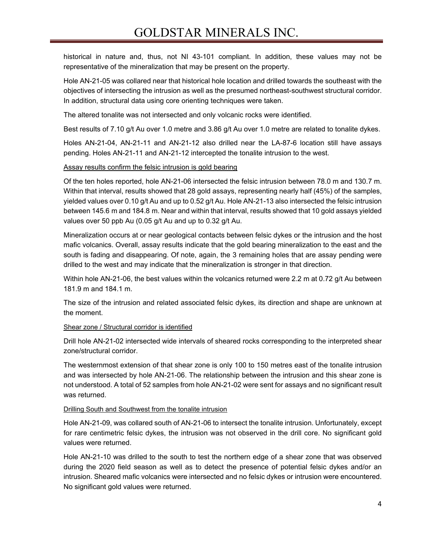historical in nature and, thus, not NI 43-101 compliant. In addition, these values may not be representative of the mineralization that may be present on the property.

Hole AN-21-05 was collared near that historical hole location and drilled towards the southeast with the objectives of intersecting the intrusion as well as the presumed northeast-southwest structural corridor. In addition, structural data using core orienting techniques were taken.

The altered tonalite was not intersected and only volcanic rocks were identified.

Best results of 7.10 g/t Au over 1.0 metre and 3.86 g/t Au over 1.0 metre are related to tonalite dykes.

Holes AN-21-04, AN-21-11 and AN-21-12 also drilled near the LA-87-6 location still have assays pending. Holes AN-21-11 and AN-21-12 intercepted the tonalite intrusion to the west.

### Assay results confirm the felsic intrusion is gold bearing

Of the ten holes reported, hole AN-21-06 intersected the felsic intrusion between 78.0 m and 130.7 m. Within that interval, results showed that 28 gold assays, representing nearly half (45%) of the samples, yielded values over 0.10 g/t Au and up to 0.52 g/t Au. Hole AN-21-13 also intersected the felsic intrusion between 145.6 m and 184.8 m. Near and within that interval, results showed that 10 gold assays yielded values over 50 ppb Au (0.05 g/t Au and up to 0.32 g/t Au.

Mineralization occurs at or near geological contacts between felsic dykes or the intrusion and the host mafic volcanics. Overall, assay results indicate that the gold bearing mineralization to the east and the south is fading and disappearing. Of note, again, the 3 remaining holes that are assay pending were drilled to the west and may indicate that the mineralization is stronger in that direction.

Within hole AN-21-06, the best values within the volcanics returned were 2.2 m at 0.72 g/t Au between 181.9 m and 184.1 m.

The size of the intrusion and related associated felsic dykes, its direction and shape are unknown at the moment.

### Shear zone / Structural corridor is identified

Drill hole AN-21-02 intersected wide intervals of sheared rocks corresponding to the interpreted shear zone/structural corridor.

The westernmost extension of that shear zone is only 100 to 150 metres east of the tonalite intrusion and was intersected by hole AN-21-06. The relationship between the intrusion and this shear zone is not understood. A total of 52 samples from hole AN-21-02 were sent for assays and no significant result was returned.

### Drilling South and Southwest from the tonalite intrusion

Hole AN-21-09, was collared south of AN-21-06 to intersect the tonalite intrusion. Unfortunately, except for rare centimetric felsic dykes, the intrusion was not observed in the drill core. No significant gold values were returned.

Hole AN-21-10 was drilled to the south to test the northern edge of a shear zone that was observed during the 2020 field season as well as to detect the presence of potential felsic dykes and/or an intrusion. Sheared mafic volcanics were intersected and no felsic dykes or intrusion were encountered. No significant gold values were returned.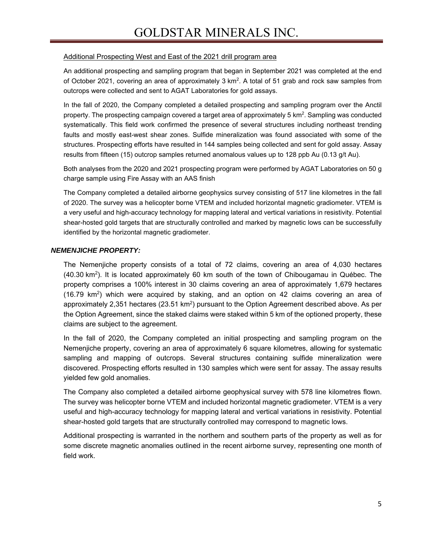### Additional Prospecting West and East of the 2021 drill program area

An additional prospecting and sampling program that began in September 2021 was completed at the end of October 2021, covering an area of approximately 3 km<sup>2</sup>. A total of 51 grab and rock saw samples from outcrops were collected and sent to AGAT Laboratories for gold assays.

In the fall of 2020, the Company completed a detailed prospecting and sampling program over the Anctil property. The prospecting campaign covered a target area of approximately 5 km $^2$ . Sampling was conducted systematically. This field work confirmed the presence of several structures including northeast trending faults and mostly east-west shear zones. Sulfide mineralization was found associated with some of the structures. Prospecting efforts have resulted in 144 samples being collected and sent for gold assay. Assay results from fifteen (15) outcrop samples returned anomalous values up to 128 ppb Au (0.13 g/t Au).

Both analyses from the 2020 and 2021 prospecting program were performed by AGAT Laboratories on 50 g charge sample using Fire Assay with an AAS finish

The Company completed a detailed airborne geophysics survey consisting of 517 line kilometres in the fall of 2020. The survey was a helicopter borne VTEM and included horizontal magnetic gradiometer. VTEM is a very useful and high-accuracy technology for mapping lateral and vertical variations in resistivity. Potential shear-hosted gold targets that are structurally controlled and marked by magnetic lows can be successfully identified by the horizontal magnetic gradiometer.

### *NEMENJICHE PROPERTY:*

The Nemenjiche property consists of a total of 72 claims, covering an area of 4,030 hectares  $(40.30 \text{ km}^2)$ . It is located approximately 60 km south of the town of Chibougamau in Québec. The property comprises a 100% interest in 30 claims covering an area of approximately 1,679 hectares (16.79 km<sup>2</sup>) which were acquired by staking, and an option on 42 claims covering an area of approximately 2,351 hectares ( $23.51 \text{ km}^2$ ) pursuant to the Option Agreement described above. As per the Option Agreement, since the staked claims were staked within 5 km of the optioned property, these claims are subject to the agreement.

In the fall of 2020, the Company completed an initial prospecting and sampling program on the Nemenjiche property, covering an area of approximately 6 square kilometres, allowing for systematic sampling and mapping of outcrops. Several structures containing sulfide mineralization were discovered. Prospecting efforts resulted in 130 samples which were sent for assay. The assay results yielded few gold anomalies.

The Company also completed a detailed airborne geophysical survey with 578 line kilometres flown. The survey was helicopter borne VTEM and included horizontal magnetic gradiometer. VTEM is a very useful and high-accuracy technology for mapping lateral and vertical variations in resistivity. Potential shear-hosted gold targets that are structurally controlled may correspond to magnetic lows.

Additional prospecting is warranted in the northern and southern parts of the property as well as for some discrete magnetic anomalies outlined in the recent airborne survey, representing one month of field work.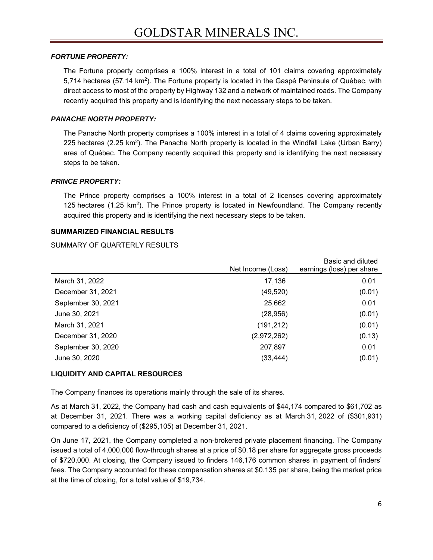### *FORTUNE PROPERTY:*

The Fortune property comprises a 100% interest in a total of 101 claims covering approximately 5,714 hectares (57.14 km<sup>2</sup>). The Fortune property is located in the Gaspé Peninsula of Québec, with direct access to most of the property by Highway 132 and a network of maintained roads. The Company recently acquired this property and is identifying the next necessary steps to be taken.

### *PANACHE NORTH PROPERTY:*

The Panache North property comprises a 100% interest in a total of 4 claims covering approximately 225 hectares (2.25 km<sup>2</sup>). The Panache North property is located in the Windfall Lake (Urban Barry) area of Québec. The Company recently acquired this property and is identifying the next necessary steps to be taken.

### *PRINCE PROPERTY:*

The Prince property comprises a 100% interest in a total of 2 licenses covering approximately 125 hectares  $(1.25 \text{ km}^2)$ . The Prince property is located in Newfoundland. The Company recently acquired this property and is identifying the next necessary steps to be taken.

### **SUMMARIZED FINANCIAL RESULTS**

SUMMARY OF QUARTERLY RESULTS

|                    | Net Income (Loss) | Basic and diluted<br>earnings (loss) per share |
|--------------------|-------------------|------------------------------------------------|
|                    |                   |                                                |
| March 31, 2022     | 17,136            | 0.01                                           |
| December 31, 2021  | (49, 520)         | (0.01)                                         |
| September 30, 2021 | 25,662            | 0.01                                           |
| June 30, 2021      | (28, 956)         | (0.01)                                         |
| March 31, 2021     | (191, 212)        | (0.01)                                         |
| December 31, 2020  | (2,972,262)       | (0.13)                                         |
| September 30, 2020 | 207,897           | 0.01                                           |
| June 30, 2020      | (33, 444)         | (0.01)                                         |
|                    |                   |                                                |

### **LIQUIDITY AND CAPITAL RESOURCES**

The Company finances its operations mainly through the sale of its shares.

As at March 31, 2022, the Company had cash and cash equivalents of \$44,174 compared to \$61,702 as at December 31, 2021. There was a working capital deficiency as at March 31, 2022 of (\$301,931) compared to a deficiency of (\$295,105) at December 31, 2021.

On June 17, 2021, the Company completed a non-brokered private placement financing. The Company issued a total of 4,000,000 flow-through shares at a price of \$0.18 per share for aggregate gross proceeds of \$720,000. At closing, the Company issued to finders 146,176 common shares in payment of finders' fees. The Company accounted for these compensation shares at \$0.135 per share, being the market price at the time of closing, for a total value of \$19,734.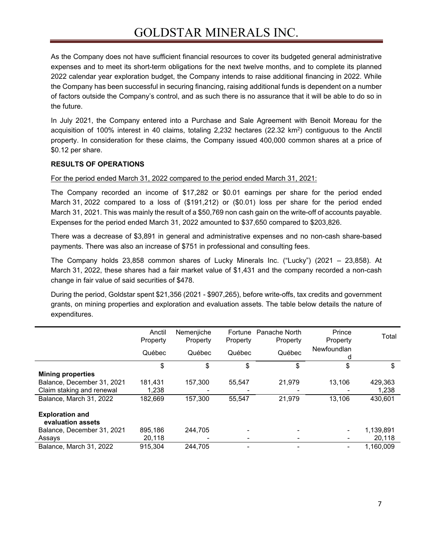As the Company does not have sufficient financial resources to cover its budgeted general administrative expenses and to meet its short-term obligations for the next twelve months, and to complete its planned 2022 calendar year exploration budget, the Company intends to raise additional financing in 2022. While the Company has been successful in securing financing, raising additional funds is dependent on a number of factors outside the Company's control, and as such there is no assurance that it will be able to do so in the future.

In July 2021, the Company entered into a Purchase and Sale Agreement with Benoit Moreau for the acquisition of 100% interest in 40 claims, totaling 2,232 hectares (22.32 km<sup>2</sup>) contiguous to the Anctil property. In consideration for these claims, the Company issued 400,000 common shares at a price of \$0.12 per share.

### **RESULTS OF OPERATIONS**

For the period ended March 31, 2022 compared to the period ended March 31, 2021:

The Company recorded an income of \$17,282 or \$0.01 earnings per share for the period ended March 31, 2022 compared to a loss of (\$191,212) or (\$0.01) loss per share for the period ended March 31, 2021. This was mainly the result of a \$50,769 non cash gain on the write-off of accounts payable. Expenses for the period ended March 31, 2022 amounted to \$37,650 compared to \$203,826.

There was a decrease of \$3,891 in general and administrative expenses and no non-cash share-based payments. There was also an increase of \$751 in professional and consulting fees.

The Company holds 23,858 common shares of Lucky Minerals Inc. ("Lucky") (2021 – 23,858). At March 31, 2022, these shares had a fair market value of \$1,431 and the company recorded a non-cash change in fair value of said securities of \$478.

During the period, Goldstar spent \$21,356 (2021 - \$907,265), before write-offs, tax credits and government grants, on mining properties and exploration and evaluation assets. The table below details the nature of expenditures.

|                                             | Anctil<br>Property | Nemenjiche<br>Property | Fortune<br>Property | Panache North<br>Property | Prince<br>Property | Total     |
|---------------------------------------------|--------------------|------------------------|---------------------|---------------------------|--------------------|-----------|
|                                             | Québec             | Québec                 | Québec              | Québec                    | Newfoundlan<br>d   |           |
|                                             | \$                 | \$                     | \$                  | \$                        | \$                 | \$        |
| <b>Mining properties</b>                    |                    |                        |                     |                           |                    |           |
| Balance, December 31, 2021                  | 181,431            | 157.300                | 55.547              | 21.979                    | 13,106             | 429,363   |
| Claim staking and renewal                   | 1,238              |                        |                     |                           |                    | 1,238     |
| Balance, March 31, 2022                     | 182,669            | 157.300                | 55,547              | 21,979                    | 13,106             | 430,601   |
| <b>Exploration and</b><br>evaluation assets |                    |                        |                     |                           |                    |           |
| Balance, December 31, 2021                  | 895.186            | 244.705                |                     |                           |                    | 1,139,891 |
| Assays                                      | 20,118             |                        |                     |                           |                    | 20,118    |
| Balance, March 31, 2022                     | 915.304            | 244,705                |                     |                           |                    | 1.160.009 |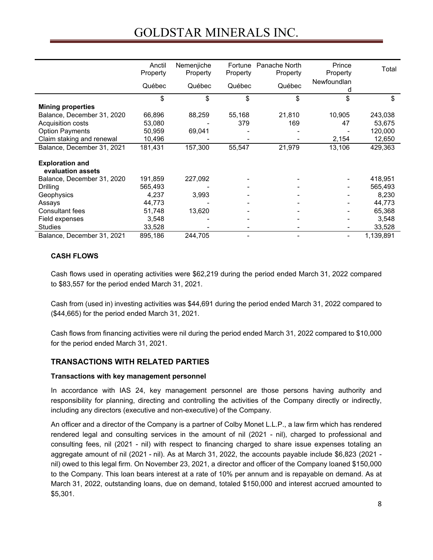# GOLDSTAR MINERALS INC.

|                                             | Anctil<br>Property<br>Québec | Nemenjiche<br>Property<br>Québec | Fortune<br>Property<br>Québec | Panache North<br>Property<br>Québec | Prince<br>Property<br>Newfoundlan | Total     |
|---------------------------------------------|------------------------------|----------------------------------|-------------------------------|-------------------------------------|-----------------------------------|-----------|
|                                             | \$                           | \$                               | \$                            | \$                                  | d<br>\$                           | \$        |
| <b>Mining properties</b>                    |                              |                                  |                               |                                     |                                   |           |
| Balance, December 31, 2020                  | 66,896                       | 88,259                           | 55,168                        | 21,810                              | 10,905                            | 243,038   |
| Acquisition costs                           | 53,080                       |                                  | 379                           | 169                                 | 47                                | 53,675    |
| <b>Option Payments</b>                      | 50,959                       | 69,041                           |                               |                                     |                                   | 120,000   |
| Claim staking and renewal                   | 10,496                       |                                  |                               |                                     | 2,154                             | 12,650    |
| Balance, December 31, 2021                  | 181,431                      | 157,300                          | 55,547                        | 21,979                              | 13,106                            | 429,363   |
| <b>Exploration and</b><br>evaluation assets |                              |                                  |                               |                                     |                                   |           |
| Balance, December 31, 2020                  | 191,859                      | 227,092                          |                               |                                     |                                   | 418,951   |
| Drilling                                    | 565,493                      |                                  |                               |                                     |                                   | 565,493   |
| Geophysics                                  | 4,237                        | 3,993                            |                               |                                     |                                   | 8,230     |
| Assays                                      | 44,773                       |                                  |                               |                                     |                                   | 44,773    |
| <b>Consultant fees</b>                      | 51,748                       | 13,620                           |                               |                                     |                                   | 65,368    |
| Field expenses                              | 3,548                        |                                  |                               |                                     |                                   | 3,548     |
| <b>Studies</b>                              | 33,528                       |                                  |                               |                                     |                                   | 33,528    |
| Balance, December 31, 2021                  | 895,186                      | 244,705                          |                               |                                     | ۰                                 | 1,139,891 |

### **CASH FLOWS**

Cash flows used in operating activities were \$62,219 during the period ended March 31, 2022 compared to \$83,557 for the period ended March 31, 2021.

Cash from (used in) investing activities was \$44,691 during the period ended March 31, 2022 compared to (\$44,665) for the period ended March 31, 2021.

Cash flows from financing activities were nil during the period ended March 31, 2022 compared to \$10,000 for the period ended March 31, 2021.

# **TRANSACTIONS WITH RELATED PARTIES**

### **Transactions with key management personnel**

In accordance with IAS 24, key management personnel are those persons having authority and responsibility for planning, directing and controlling the activities of the Company directly or indirectly, including any directors (executive and non-executive) of the Company.

An officer and a director of the Company is a partner of Colby Monet L.L.P., a law firm which has rendered rendered legal and consulting services in the amount of nil (2021 - nil), charged to professional and consulting fees, nil (2021 - nil) with respect to financing charged to share issue expenses totaling an aggregate amount of nil (2021 - nil). As at March 31, 2022, the accounts payable include \$6,823 (2021 nil) owed to this legal firm. On November 23, 2021, a director and officer of the Company loaned \$150,000 to the Company. This loan bears interest at a rate of 10% per annum and is repayable on demand. As at March 31, 2022, outstanding loans, due on demand, totaled \$150,000 and interest accrued amounted to \$5,301.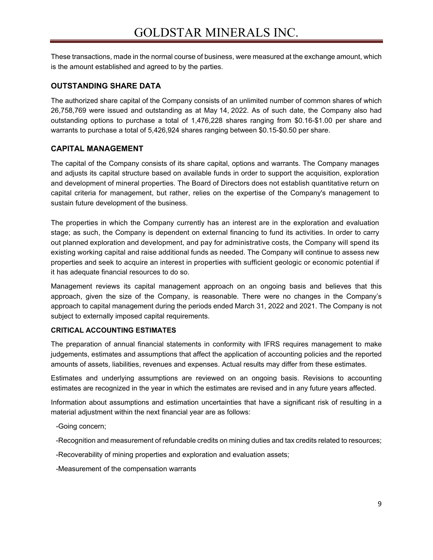These transactions, made in the normal course of business, were measured at the exchange amount, which is the amount established and agreed to by the parties.

### **OUTSTANDING SHARE DATA**

The authorized share capital of the Company consists of an unlimited number of common shares of which 26,758,769 were issued and outstanding as at May 14, 2022. As of such date, the Company also had outstanding options to purchase a total of 1,476,228 shares ranging from \$0.16-\$1.00 per share and warrants to purchase a total of 5,426,924 shares ranging between \$0.15-\$0.50 per share.

### **CAPITAL MANAGEMENT**

The capital of the Company consists of its share capital, options and warrants. The Company manages and adjusts its capital structure based on available funds in order to support the acquisition, exploration and development of mineral properties. The Board of Directors does not establish quantitative return on capital criteria for management, but rather, relies on the expertise of the Company's management to sustain future development of the business.

The properties in which the Company currently has an interest are in the exploration and evaluation stage; as such, the Company is dependent on external financing to fund its activities. In order to carry out planned exploration and development, and pay for administrative costs, the Company will spend its existing working capital and raise additional funds as needed. The Company will continue to assess new properties and seek to acquire an interest in properties with sufficient geologic or economic potential if it has adequate financial resources to do so.

Management reviews its capital management approach on an ongoing basis and believes that this approach, given the size of the Company, is reasonable. There were no changes in the Company's approach to capital management during the periods ended March 31, 2022 and 2021. The Company is not subject to externally imposed capital requirements.

### **CRITICAL ACCOUNTING ESTIMATES**

The preparation of annual financial statements in conformity with IFRS requires management to make judgements, estimates and assumptions that affect the application of accounting policies and the reported amounts of assets, liabilities, revenues and expenses. Actual results may differ from these estimates.

Estimates and underlying assumptions are reviewed on an ongoing basis. Revisions to accounting estimates are recognized in the year in which the estimates are revised and in any future years affected.

Information about assumptions and estimation uncertainties that have a significant risk of resulting in a material adjustment within the next financial year are as follows:

-Going concern;

-Recognition and measurement of refundable credits on mining duties and tax credits related to resources;

-Recoverability of mining properties and exploration and evaluation assets;

-Measurement of the compensation warrants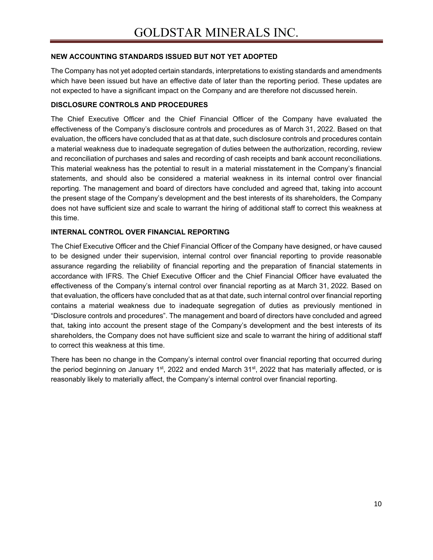### **NEW ACCOUNTING STANDARDS ISSUED BUT NOT YET ADOPTED**

The Company has not yet adopted certain standards, interpretations to existing standards and amendments which have been issued but have an effective date of later than the reporting period. These updates are not expected to have a significant impact on the Company and are therefore not discussed herein.

### **DISCLOSURE CONTROLS AND PROCEDURES**

The Chief Executive Officer and the Chief Financial Officer of the Company have evaluated the effectiveness of the Company's disclosure controls and procedures as of March 31, 2022. Based on that evaluation, the officers have concluded that as at that date, such disclosure controls and procedures contain a material weakness due to inadequate segregation of duties between the authorization, recording, review and reconciliation of purchases and sales and recording of cash receipts and bank account reconciliations. This material weakness has the potential to result in a material misstatement in the Company's financial statements, and should also be considered a material weakness in its internal control over financial reporting. The management and board of directors have concluded and agreed that, taking into account the present stage of the Company's development and the best interests of its shareholders, the Company does not have sufficient size and scale to warrant the hiring of additional staff to correct this weakness at this time.

### **INTERNAL CONTROL OVER FINANCIAL REPORTING**

The Chief Executive Officer and the Chief Financial Officer of the Company have designed, or have caused to be designed under their supervision, internal control over financial reporting to provide reasonable assurance regarding the reliability of financial reporting and the preparation of financial statements in accordance with IFRS. The Chief Executive Officer and the Chief Financial Officer have evaluated the effectiveness of the Company's internal control over financial reporting as at March 31, 2022. Based on that evaluation, the officers have concluded that as at that date, such internal control over financial reporting contains a material weakness due to inadequate segregation of duties as previously mentioned in "Disclosure controls and procedures". The management and board of directors have concluded and agreed that, taking into account the present stage of the Company's development and the best interests of its shareholders, the Company does not have sufficient size and scale to warrant the hiring of additional staff to correct this weakness at this time.

There has been no change in the Company's internal control over financial reporting that occurred during the period beginning on January 1<sup>st</sup>, 2022 and ended March 31<sup>st</sup>, 2022 that has materially affected, or is reasonably likely to materially affect, the Company's internal control over financial reporting.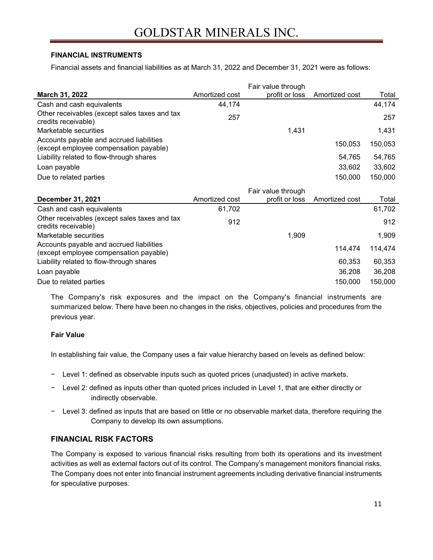### **FINANCIAL INSTRUMENTS**

Financial assets and financial liabilities as at March 31, 2022 and December 31, 2021 were as follows:

|                                                                                    |                | Fair value through |                |         |
|------------------------------------------------------------------------------------|----------------|--------------------|----------------|---------|
| March 31, 2022                                                                     | Amortized cost | profit or loss     | Amortized cost | Total   |
| Cash and cash equivalents                                                          | 44,174         |                    |                | 44,174  |
| Other receivables (except sales taxes and tax<br>credits receivable)               | 257            |                    |                | 257     |
| Marketable securities                                                              |                | 1,431              |                | 1,431   |
| Accounts payable and accrued liabilities<br>(except employee compensation payable) |                |                    | 150,053        | 150,053 |
| Liability related to flow-through shares                                           |                |                    | 54,765         | 54,765  |
| Loan payable                                                                       |                |                    | 33,602         | 33,602  |
| Due to related parties                                                             |                |                    | 150,000        | 150,000 |
|                                                                                    |                | Fair value through |                |         |
| <b>December 31, 2021</b>                                                           | Amortized cost | profit or loss     | Amortized cost | Total   |
| Cash and cash equivalents                                                          | 61,702         |                    |                | 61,702  |
| Other receivables (except sales taxes and tax<br>credits receivable)               | 912            |                    |                | 912     |
| Marketable securities                                                              |                | 1,909              |                | 1,909   |
| Accounts payable and accrued liabilities<br>(except employee compensation payable) |                |                    | 114,474        | 114,474 |
| Liability related to flow-through shares                                           |                |                    | 60,353         | 60,353  |
| Loan payable                                                                       |                |                    | 36,208         | 36,208  |
| Due to related parties                                                             |                |                    | 150,000        | 150,000 |

The Company's risk exposures and the impact on the Company's financial instruments are summarized below. There have been no changes in the risks, objectives, policies and procedures from the previous year.

### **Fair Value**

In establishing fair value, the Company uses a fair value hierarchy based on levels as defined below:

- − Level 1: defined as observable inputs such as quoted prices (unadjusted) in active markets.
- − Level 2: defined as inputs other than quoted prices included in Level 1, that are either directly or indirectly observable.
- − Level 3: defined as inputs that are based on little or no observable market data, therefore requiring the Company to develop its own assumptions.

# **FINANCIAL RISK FACTORS**

The Company is exposed to various financial risks resulting from both its operations and its investment activities as well as external factors out of its control. The Company's management monitors financial risks. The Company does not enter into financial instrument agreements including derivative financial instruments for speculative purposes.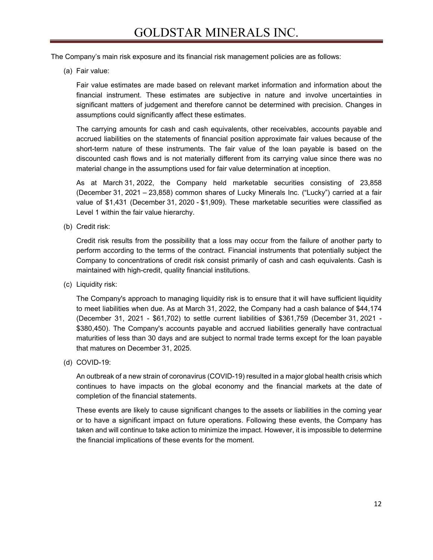The Company's main risk exposure and its financial risk management policies are as follows:

(a) Fair value:

Fair value estimates are made based on relevant market information and information about the financial instrument. These estimates are subjective in nature and involve uncertainties in significant matters of judgement and therefore cannot be determined with precision. Changes in assumptions could significantly affect these estimates.

The carrying amounts for cash and cash equivalents, other receivables, accounts payable and accrued liabilities on the statements of financial position approximate fair values because of the short-term nature of these instruments. The fair value of the loan payable is based on the discounted cash flows and is not materially different from its carrying value since there was no material change in the assumptions used for fair value determination at inception.

As at March 31, 2022, the Company held marketable securities consisting of 23,858 (December 31, 2021 – 23,858) common shares of Lucky Minerals Inc. ("Lucky") carried at a fair value of \$1,431 (December 31, 2020 - \$1,909). These marketable securities were classified as Level 1 within the fair value hierarchy.

(b) Credit risk:

Credit risk results from the possibility that a loss may occur from the failure of another party to perform according to the terms of the contract. Financial instruments that potentially subject the Company to concentrations of credit risk consist primarily of cash and cash equivalents. Cash is maintained with high-credit, quality financial institutions.

(c) Liquidity risk:

The Company's approach to managing liquidity risk is to ensure that it will have sufficient liquidity to meet liabilities when due. As at March 31, 2022, the Company had a cash balance of \$44,174 (December 31, 2021 - \$61,702) to settle current liabilities of \$361,759 (December 31, 2021 - \$380,450). The Company's accounts payable and accrued liabilities generally have contractual maturities of less than 30 days and are subject to normal trade terms except for the loan payable that matures on December 31, 2025.

(d) COVID-19:

An outbreak of a new strain of coronavirus (COVID-19) resulted in a major global health crisis which continues to have impacts on the global economy and the financial markets at the date of completion of the financial statements.

These events are likely to cause significant changes to the assets or liabilities in the coming year or to have a significant impact on future operations. Following these events, the Company has taken and will continue to take action to minimize the impact. However, it is impossible to determine the financial implications of these events for the moment.